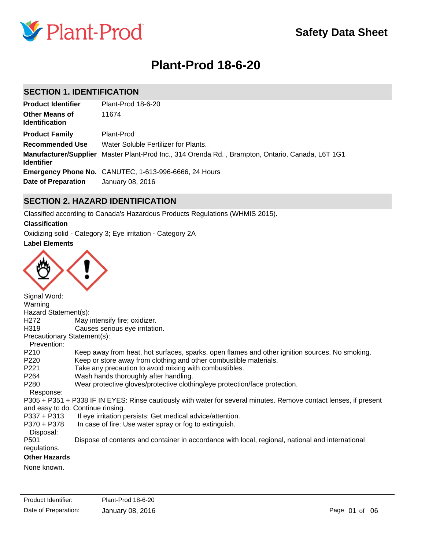

# **Plant-Prod 18-6-20**

### **SECTION 1. IDENTIFICATION**

| <b>Product Identifier</b>                      | Plant-Prod 18-6-20                                                                               |
|------------------------------------------------|--------------------------------------------------------------------------------------------------|
| <b>Other Means of</b><br><b>Identification</b> | 11674                                                                                            |
| <b>Product Family</b>                          | Plant-Prod                                                                                       |
| <b>Recommended Use</b>                         | Water Soluble Fertilizer for Plants.                                                             |
| <b>Identifier</b>                              | Manufacturer/Supplier Master Plant-Prod Inc., 314 Orenda Rd., Brampton, Ontario, Canada, L6T 1G1 |
|                                                | <b>Emergency Phone No.</b> CANUTEC, 1-613-996-6666, 24 Hours                                     |
| <b>Date of Preparation</b>                     | January 08, 2016                                                                                 |

### **SECTION 2. HAZARD IDENTIFICATION**

Classified according to Canada's Hazardous Products Regulations (WHMIS 2015).

### **Classification**

Oxidizing solid - Category 3; Eye irritation - Category 2A

### **Label Elements**



Signal Word: Warning Hazard Statement(s): H272 May intensify fire; oxidizer. H319 Causes serious eye irritation. Precautionary Statement(s): Prevention: P210 Keep away from heat, hot surfaces, sparks, open flames and other ignition sources. No smoking. P220 Keep or store away from clothing and other combustible materials. P221 Take any precaution to avoid mixing with combustibles. P264 Wash hands thoroughly after handling. P280 Wear protective gloves/protective clothing/eye protection/face protection. Response: P305 + P351 + P338 IF IN EYES: Rinse cautiously with water for several minutes. Remove contact lenses, if present and easy to do. Continue rinsing. P337 + P313 If eye irritation persists: Get medical advice/attention. P370 + P378 In case of fire: Use water spray or fog to extinguish. Disposal: P501 Dispose of contents and container in accordance with local, regional, national and international regulations. **Other Hazards**

None known.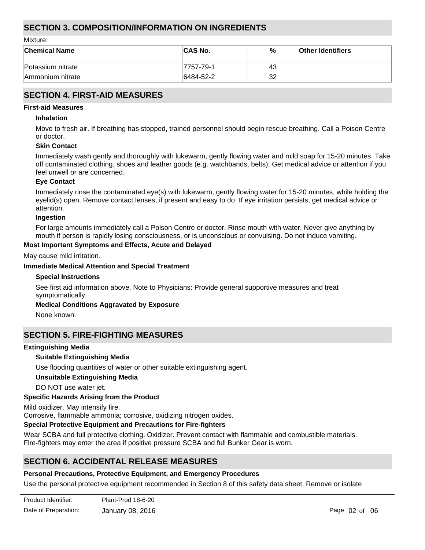### **SECTION 3. COMPOSITION/INFORMATION ON INGREDIENTS**

Mixture:

| <b>Chemical Name</b> | <b>ICAS No.</b> | %  | <b>Other Identifiers</b> |
|----------------------|-----------------|----|--------------------------|
| Potassium nitrate    | 7757-79-1       | 43 |                          |
| Ammonium nitrate     | 6484-52-2       | 32 |                          |

### **SECTION 4. FIRST-AID MEASURES**

### **First-aid Measures**

#### **Inhalation**

Move to fresh air. If breathing has stopped, trained personnel should begin rescue breathing. Call a Poison Centre or doctor.

#### **Skin Contact**

Immediately wash gently and thoroughly with lukewarm, gently flowing water and mild soap for 15-20 minutes. Take off contaminated clothing, shoes and leather goods (e.g. watchbands, belts). Get medical advice or attention if you feel unwell or are concerned.

#### **Eye Contact**

Immediately rinse the contaminated eye(s) with lukewarm, gently flowing water for 15-20 minutes, while holding the eyelid(s) open. Remove contact lenses, if present and easy to do. If eye irritation persists, get medical advice or attention.

#### **Ingestion**

For large amounts immediately call a Poison Centre or doctor. Rinse mouth with water. Never give anything by mouth if person is rapidly losing consciousness, or is unconscious or convulsing. Do not induce vomiting.

### **Most Important Symptoms and Effects, Acute and Delayed**

May cause mild irritation.

#### **Immediate Medical Attention and Special Treatment**

#### **Special Instructions**

See first aid information above. Note to Physicians: Provide general supportive measures and treat symptomatically.

### **Medical Conditions Aggravated by Exposure**

None known.

### **SECTION 5. FIRE-FIGHTING MEASURES**

### **Extinguishing Media**

### **Suitable Extinguishing Media**

Use flooding quantities of water or other suitable extinguishing agent.

### **Unsuitable Extinguishing Media**

DO NOT use water jet.

### **Specific Hazards Arising from the Product**

Mild oxidizer. May intensify fire.

Corrosive, flammable ammonia; corrosive, oxidizing nitrogen oxides.

### **Special Protective Equipment and Precautions for Fire-fighters**

Wear SCBA and full protective clothing. Oxidizer. Prevent contact with flammable and combustible materials. Fire-fighters may enter the area if positive pressure SCBA and full Bunker Gear is worn.

### **SECTION 6. ACCIDENTAL RELEASE MEASURES**

### **Personal Precautions, Protective Equipment, and Emergency Procedures**

Use the personal protective equipment recommended in Section 8 of this safety data sheet. Remove or isolate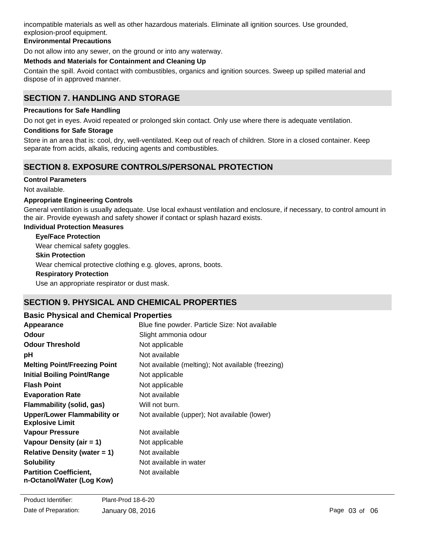incompatible materials as well as other hazardous materials. Eliminate all ignition sources. Use grounded, explosion-proof equipment.

### **Environmental Precautions**

Do not allow into any sewer, on the ground or into any waterway.

### **Methods and Materials for Containment and Cleaning Up**

Contain the spill. Avoid contact with combustibles, organics and ignition sources. Sweep up spilled material and dispose of in approved manner.

### **SECTION 7. HANDLING AND STORAGE**

### **Precautions for Safe Handling**

Do not get in eyes. Avoid repeated or prolonged skin contact. Only use where there is adequate ventilation.

### **Conditions for Safe Storage**

Store in an area that is: cool, dry, well-ventilated. Keep out of reach of children. Store in a closed container. Keep separate from acids, alkalis, reducing agents and combustibles.

### **SECTION 8. EXPOSURE CONTROLS/PERSONAL PROTECTION**

### **Control Parameters**

Not available.

### **Appropriate Engineering Controls**

General ventilation is usually adequate. Use local exhaust ventilation and enclosure, if necessary, to control amount in the air. Provide eyewash and safety shower if contact or splash hazard exists.

### **Individual Protection Measures**

### **Eye/Face Protection**

Wear chemical safety goggles.

### **Skin Protection**

Wear chemical protective clothing e.g. gloves, aprons, boots.

### **Respiratory Protection**

Use an appropriate respirator or dust mask.

### **SECTION 9. PHYSICAL AND CHEMICAL PROPERTIES**

### **Basic Physical and Chemical Properties**

| Appearance                                                   | Blue fine powder. Particle Size: Not available    |
|--------------------------------------------------------------|---------------------------------------------------|
| <b>Odour</b>                                                 | Slight ammonia odour                              |
| <b>Odour Threshold</b>                                       | Not applicable                                    |
| рH                                                           | Not available                                     |
| <b>Melting Point/Freezing Point</b>                          | Not available (melting); Not available (freezing) |
| <b>Initial Boiling Point/Range</b>                           | Not applicable                                    |
| <b>Flash Point</b>                                           | Not applicable                                    |
| <b>Evaporation Rate</b>                                      | Not available                                     |
| Flammability (solid, gas)                                    | Will not burn.                                    |
| <b>Upper/Lower Flammability or</b><br><b>Explosive Limit</b> | Not available (upper); Not available (lower)      |
| Vapour Pressure                                              | Not available                                     |
| Vapour Density (air $= 1$ )                                  | Not applicable                                    |
| <b>Relative Density (water = 1)</b>                          | Not available                                     |
| <b>Solubility</b>                                            | Not available in water                            |
| <b>Partition Coefficient,</b><br>n-Octanol/Water (Log Kow)   | Not available                                     |

**Auto-ignition Temperature** Not applicable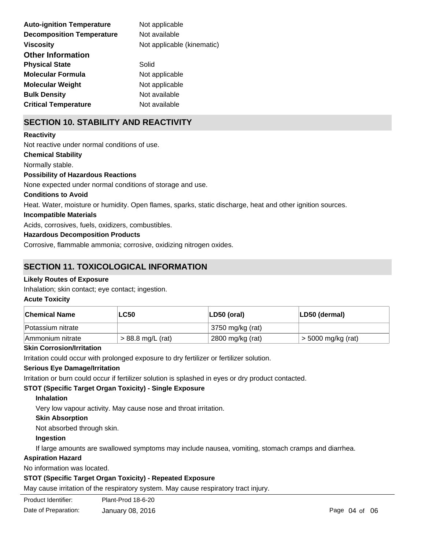| <b>Auto-ignition Temperature</b> | Not applicable             |
|----------------------------------|----------------------------|
| <b>Decomposition Temperature</b> | Not available              |
| <b>Viscosity</b>                 | Not applicable (kinematic) |
| <b>Other Information</b>         |                            |
| <b>Physical State</b>            | Solid                      |
| <b>Molecular Formula</b>         | Not applicable             |
| <b>Molecular Weight</b>          | Not applicable             |
| <b>Bulk Density</b>              | Not available              |
| <b>Critical Temperature</b>      | Not available              |

## **SECTION 10. STABILITY AND REACTIVITY**

### **Reactivity**

Not reactive under normal conditions of use.

#### **Chemical Stability**

Normally stable.

### **Possibility of Hazardous Reactions**

None expected under normal conditions of storage and use.

### **Conditions to Avoid**

Heat. Water, moisture or humidity. Open flames, sparks, static discharge, heat and other ignition sources.

### **Incompatible Materials**

Acids, corrosives, fuels, oxidizers, combustibles.

### **Hazardous Decomposition Products**

Corrosive, flammable ammonia; corrosive, oxidizing nitrogen oxides.

### **SECTION 11. TOXICOLOGICAL INFORMATION**

### **Likely Routes of Exposure**

Inhalation; skin contact; eye contact; ingestion.

### **Acute Toxicity**

| <b>Chemical Name</b> | <b>LC50</b>         | $ LD50$ (oral)   | LD50 (dermal)        |
|----------------------|---------------------|------------------|----------------------|
| Potassium nitrate    |                     | 3750 mg/kg (rat) |                      |
| ∣Ammonium nitrate    | $> 88.8$ mg/L (rat) | 2800 mg/kg (rat) | $>$ 5000 mg/kg (rat) |

### **Skin Corrosion/Irritation**

Irritation could occur with prolonged exposure to dry fertilizer or fertilizer solution.

### **Serious Eye Damage/Irritation**

Irritation or burn could occur if fertilizer solution is splashed in eyes or dry product contacted.

### **STOT (Specific Target Organ Toxicity) - Single Exposure**

### **Inhalation**

Very low vapour activity. May cause nose and throat irritation.

### **Skin Absorption**

Not absorbed through skin.

### **Ingestion**

If large amounts are swallowed symptoms may include nausea, vomiting, stomach cramps and diarrhea.

### **Aspiration Hazard**

No information was located.

### **STOT (Specific Target Organ Toxicity) - Repeated Exposure**

May cause irritation of the respiratory system. May cause respiratory tract injury.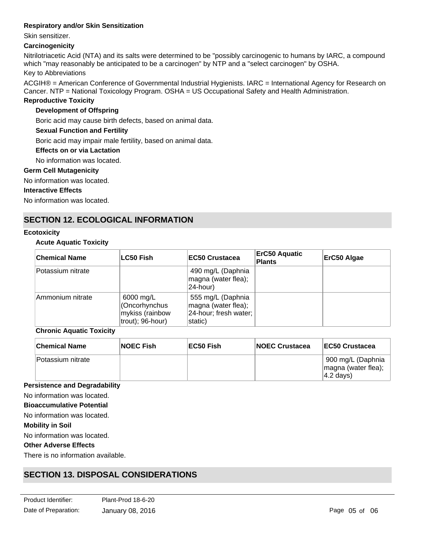### **Respiratory and/or Skin Sensitization**

Skin sensitizer.

### **Carcinogenicity**

Nitrilotriacetic Acid (NTA) and its salts were determined to be "possibly carcinogenic to humans by IARC, a compound which "may reasonably be anticipated to be a carcinogen" by NTP and a "select carcinogen" by OSHA.

### Key to Abbreviations

ACGIH® = American Conference of Governmental Industrial Hygienists. IARC = International Agency for Research on Cancer. NTP = National Toxicology Program. OSHA = US Occupational Safety and Health Administration.

### **Reproductive Toxicity**

### **Development of Offspring**

Boric acid may cause birth defects, based on animal data.

### **Sexual Function and Fertility**

Boric acid may impair male fertility, based on animal data.

#### **Effects on or via Lactation**

No information was located.

#### **Germ Cell Mutagenicity**

No information was located.

#### **Interactive Effects**

No information was located.

### **SECTION 12. ECOLOGICAL INFORMATION**

#### **Ecotoxicity**

### **Acute Aquatic Toxicity**

| <b>Chemical Name</b> | LC50 Fish                                                         | <b>EC50 Crustacea</b>                                                        | <b>ErC50 Aquatic</b><br><b>Plants</b> | ErC50 Algae |
|----------------------|-------------------------------------------------------------------|------------------------------------------------------------------------------|---------------------------------------|-------------|
| Potassium nitrate    |                                                                   | 490 mg/L (Daphnia<br>magna (water flea);<br>24-hour)                         |                                       |             |
| Ammonium nitrate     | 6000 mg/L<br>(Oncorhynchus<br>mykiss (rainbow<br>trout); 96-hour) | 555 mg/L (Daphnia<br>magna (water flea);<br>24-hour; fresh water;<br>static) |                                       |             |

### **Chronic Aquatic Toxicity**

| <b>Chemical Name</b> | <b>NOEC Fish</b> | EC50 Fish | <b>NOEC Crustacea</b> | <b>IEC50 Crustacea</b>                                                        |
|----------------------|------------------|-----------|-----------------------|-------------------------------------------------------------------------------|
| lPotassium nitrate   |                  |           |                       | <sup>9</sup> 900 mg/L (Daphnia<br>magna (water flea);<br>$ 4.2 \text{ days} $ |

#### **Persistence and Degradability**

No information was located.

#### **Bioaccumulative Potential**

No information was located.

### **Mobility in Soil**

No information was located.

### **Other Adverse Effects**

There is no information available.

## **SECTION 13. DISPOSAL CONSIDERATIONS**